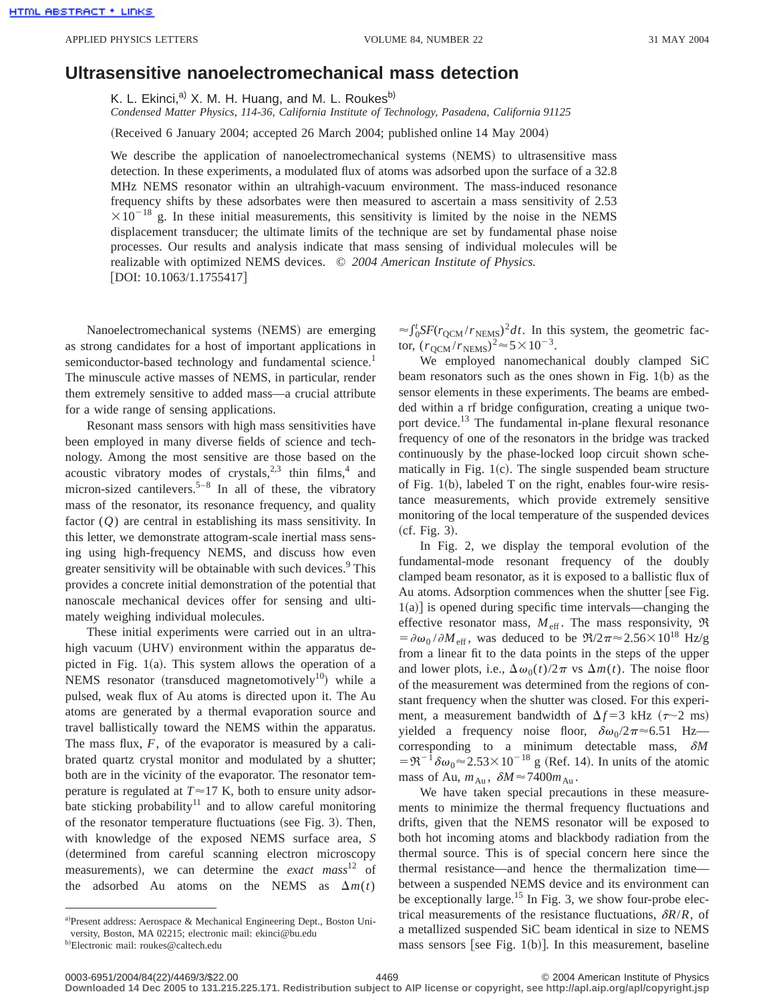## **Ultrasensitive nanoelectromechanical mass detection**

K. L. Ekinci,<sup>a)</sup> X. M. H. Huang, and M. L. Roukes<sup>b)</sup>

*Condensed Matter Physics, 114-36, California Institute of Technology, Pasadena, California 91125*

(Received 6 January 2004; accepted 26 March 2004; published online 14 May 2004)

We describe the application of nanoelectromechanical systems (NEMS) to ultrasensitive mass detection. In these experiments, a modulated flux of atoms was adsorbed upon the surface of a 32.8 MHz NEMS resonator within an ultrahigh-vacuum environment. The mass-induced resonance frequency shifts by these adsorbates were then measured to ascertain a mass sensitivity of 2.53  $\times 10^{-18}$  g. In these initial measurements, this sensitivity is limited by the noise in the NEMS displacement transducer; the ultimate limits of the technique are set by fundamental phase noise processes. Our results and analysis indicate that mass sensing of individual molecules will be realizable with optimized NEMS devices. © *2004 American Institute of Physics.*  $[$ DOI: 10.1063/1.1755417 $]$ 

Nanoelectromechanical systems (NEMS) are emerging as strong candidates for a host of important applications in semiconductor-based technology and fundamental science.<sup>1</sup> The minuscule active masses of NEMS, in particular, render them extremely sensitive to added mass—a crucial attribute for a wide range of sensing applications.

Resonant mass sensors with high mass sensitivities have been employed in many diverse fields of science and technology. Among the most sensitive are those based on the acoustic vibratory modes of crystals, $2,3$  thin films,<sup>4</sup> and micron-sized cantilevers.<sup>5–8</sup> In all of these, the vibratory mass of the resonator, its resonance frequency, and quality factor (*Q*) are central in establishing its mass sensitivity. In this letter, we demonstrate attogram-scale inertial mass sensing using high-frequency NEMS, and discuss how even greater sensitivity will be obtainable with such devices.<sup>9</sup> This provides a concrete initial demonstration of the potential that nanoscale mechanical devices offer for sensing and ultimately weighing individual molecules.

These initial experiments were carried out in an ultrahigh vacuum (UHV) environment within the apparatus depicted in Fig.  $1(a)$ . This system allows the operation of a NEMS resonator (transduced magnetomotively<sup>10</sup>) while a pulsed, weak flux of Au atoms is directed upon it. The Au atoms are generated by a thermal evaporation source and travel ballistically toward the NEMS within the apparatus. The mass flux, *F*, of the evaporator is measured by a calibrated quartz crystal monitor and modulated by a shutter; both are in the vicinity of the evaporator. The resonator temperature is regulated at  $T \approx 17$  K, both to ensure unity adsorbate sticking probability<sup>11</sup> and to allow careful monitoring of the resonator temperature fluctuations (see Fig. 3). Then, with knowledge of the exposed NEMS surface area, *S* ~determined from careful scanning electron microscopy measurements), we can determine the *exact mass*<sup>12</sup> of the adsorbed Au atoms on the NEMS as  $\Delta m(t)$ 

a)Present address: Aerospace & Mechanical Engineering Dept., Boston University, Boston, MA 02215; electronic mail: ekinci@bu.edu

 $\approx \int_{0}^{t} \frac{S F(r_{\text{QCM}}/r_{\text{NEMS}})^2 dt}$ . In this system, the geometric factor,  $(r_{\text{QCM}}/r_{\text{NEMS}})^2 \approx 5 \times 10^{-3}$ .

We employed nanomechanical doubly clamped SiC beam resonators such as the ones shown in Fig.  $1(b)$  as the sensor elements in these experiments. The beams are embedded within a rf bridge configuration, creating a unique twoport device.13 The fundamental in-plane flexural resonance frequency of one of the resonators in the bridge was tracked continuously by the phase-locked loop circuit shown schematically in Fig.  $1(c)$ . The single suspended beam structure of Fig.  $1(b)$ , labeled T on the right, enables four-wire resistance measurements, which provide extremely sensitive monitoring of the local temperature of the suspended devices  $(cf. Fig. 3).$ 

In Fig. 2, we display the temporal evolution of the fundamental-mode resonant frequency of the doubly clamped beam resonator, as it is exposed to a ballistic flux of Au atoms. Adsorption commences when the shutter [see Fig.  $1(a)$ ] is opened during specific time intervals—changing the effective resonator mass,  $M_{\text{eff}}$ . The mass responsivity,  $\Re$  $= \partial \omega_0 / \partial M_{\text{eff}}$ , was deduced to be  $\Re/2\pi \approx 2.56 \times 10^{18}$  Hz/g from a linear fit to the data points in the steps of the upper and lower plots, i.e.,  $\Delta \omega_0(t)/2\pi$  vs  $\Delta m(t)$ . The noise floor of the measurement was determined from the regions of constant frequency when the shutter was closed. For this experiment, a measurement bandwidth of  $\Delta f = 3$  kHz ( $\tau \sim 2$  ms) yielded a frequency noise floor,  $\delta \omega_0/2\pi \approx 6.51$  Hz corresponding to a minimum detectable mass, <sup>d</sup>*M*  $= \mathfrak{R}^{-1} \delta \omega_0 \approx 2.53 \times 10^{-18}$  g (Ref. 14). In units of the atomic mass of Au,  $m_{\text{Au}}$ ,  $\delta M \approx 7400 m_{\text{Au}}$ .

We have taken special precautions in these measurements to minimize the thermal frequency fluctuations and drifts, given that the NEMS resonator will be exposed to both hot incoming atoms and blackbody radiation from the thermal source. This is of special concern here since the thermal resistance—and hence the thermalization time between a suspended NEMS device and its environment can be exceptionally large.<sup>15</sup> In Fig. 3, we show four-probe electrical measurements of the resistance fluctuations,  $\delta R/R$ , of a metallized suspended SiC beam identical in size to NEMS mass sensors [see Fig.  $1(b)$ ]. In this measurement, baseline

<sup>&</sup>lt;sup>b)</sup>Electronic mail: roukes@caltech.edu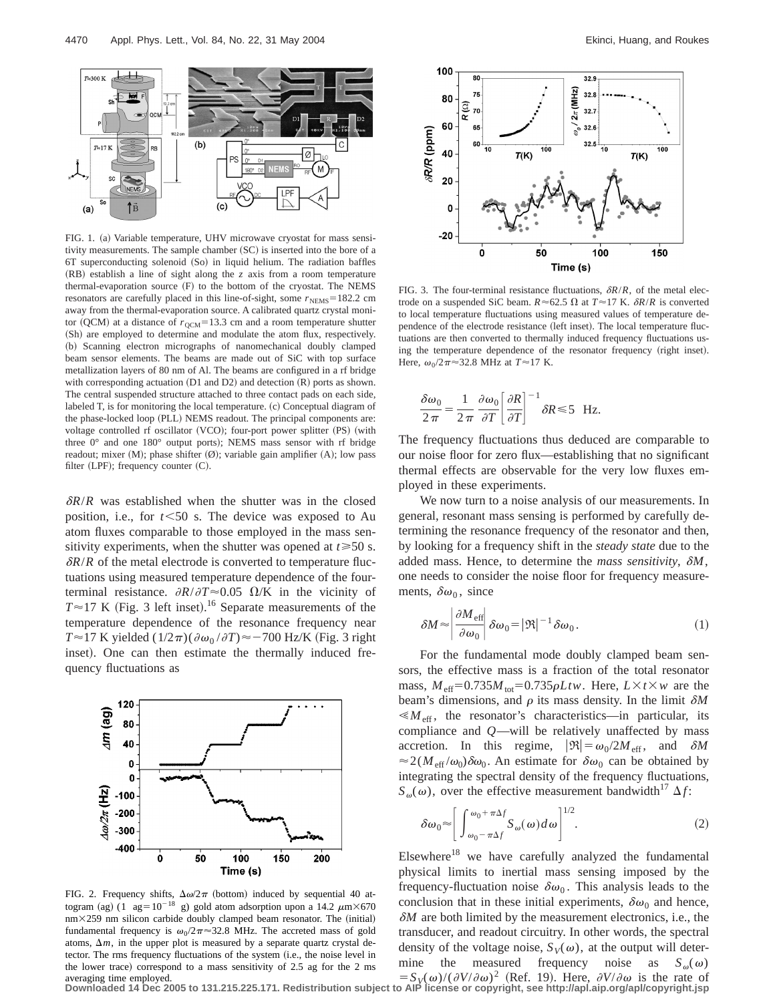

FIG. 1. (a) Variable temperature, UHV microwave cryostat for mass sensitivity measurements. The sample chamber (SC) is inserted into the bore of a 6T superconducting solenoid (So) in liquid helium. The radiation baffles  $(RB)$  establish a line of sight along the  $z$  axis from a room temperature thermal-evaporation source (F) to the bottom of the cryostat. The NEMS resonators are carefully placed in this line-of-sight, some  $r_{\text{NEMS}}=182.2$  cm away from the thermal-evaporation source. A calibrated quartz crystal monitor (QCM) at a distance of  $r_{\text{OCM}}$ =13.3 cm and a room temperature shutter (Sh) are employed to determine and modulate the atom flux, respectively. (b) Scanning electron micrographs of nanomechanical doubly clamped beam sensor elements. The beams are made out of SiC with top surface metallization layers of 80 nm of Al. The beams are configured in a rf bridge with corresponding actuation  $(D1 \text{ and } D2)$  and detection  $(R)$  ports as shown. The central suspended structure attached to three contact pads on each side, labeled  $T$ , is for monitoring the local temperature.  $(c)$  Conceptual diagram of the phase-locked loop (PLL) NEMS readout. The principal components are: voltage controlled rf oscillator (VCO); four-port power splitter (PS) (with three  $0^{\circ}$  and one  $180^{\circ}$  output ports); NEMS mass sensor with rf bridge readout; mixer  $(M)$ ; phase shifter  $(\emptyset)$ ; variable gain amplifier  $(A)$ ; low pass filter (LPF); frequency counter  $(C)$ .

 $\delta R/R$  was established when the shutter was in the closed position, i.e., for  $t \leq 50$  s. The device was exposed to Au atom fluxes comparable to those employed in the mass sensitivity experiments, when the shutter was opened at  $t \ge 50$  s.  $\delta R/R$  of the metal electrode is converted to temperature fluctuations using measured temperature dependence of the fourterminal resistance.  $\partial R/\partial T \approx 0.05$   $\Omega/K$  in the vicinity of  $T \approx 17$  K (Fig. 3 left inset).<sup>16</sup> Separate measurements of the temperature dependence of the resonance frequency near  $T \approx 17$  K yielded  $(1/2\pi)(\partial \omega_0/\partial T) \approx -700$  Hz/K (Fig. 3 right inset). One can then estimate the thermally induced frequency fluctuations as



FIG. 2. Frequency shifts,  $\Delta \omega / 2\pi$  (bottom) induced by sequential 40 attogram (ag)  $(1 \text{ ag}=10^{-18} \text{ g})$  gold atom adsorption upon a 14.2  $\mu$ m $\times$ 670  $nm\times259$  nm silicon carbide doubly clamped beam resonator. The (initial) fundamental frequency is  $\omega_0/2\pi \approx 32.8$  MHz. The accreted mass of gold atoms,  $\Delta m$ , in the upper plot is measured by a separate quartz crystal detector. The rms frequency fluctuations of the system (i.e., the noise level in the lower trace) correspond to a mass sensitivity of 2.5 ag for the 2 ms



FIG. 3. The four-terminal resistance fluctuations,  $\delta R/R$ , of the metal electrode on a suspended SiC beam.  $R \approx 62.5 \Omega$  at  $T \approx 17 \text{ K}$ .  $\delta R/R$  is converted to local temperature fluctuations using measured values of temperature dependence of the electrode resistance (left inset). The local temperature fluctuations are then converted to thermally induced frequency fluctuations using the temperature dependence of the resonator frequency (right inset). Here,  $\omega_0/2\pi \approx 32.8$  MHz at  $T \approx 17$  K.

$$
\frac{\delta \omega_0}{2\pi} = \frac{1}{2\pi} \frac{\partial \omega_0}{\partial T} \left[ \frac{\partial R}{\partial T} \right]^{-1} \delta R \le 5 \text{ Hz}.
$$

The frequency fluctuations thus deduced are comparable to our noise floor for zero flux—establishing that no significant thermal effects are observable for the very low fluxes employed in these experiments.

We now turn to a noise analysis of our measurements. In general, resonant mass sensing is performed by carefully determining the resonance frequency of the resonator and then, by looking for a frequency shift in the *steady state* due to the added mass. Hence, to determine the *mass sensitivity*,  $\delta M$ , one needs to consider the noise floor for frequency measurements,  $\delta \omega_0$ , since

$$
\delta M \approx \left| \frac{\partial M_{\text{eff}}}{\partial \omega_0} \right| \delta \omega_0 = |\Re|^{-1} \delta \omega_0. \tag{1}
$$

For the fundamental mode doubly clamped beam sensors, the effective mass is a fraction of the total resonator mass,  $M_{\text{eff}}=0.735M_{\text{tot}}=0.735\rho Ltw$ . Here,  $L\times t\times w$  are the beam's dimensions, and  $\rho$  its mass density. In the limit  $\delta M$  $\ll M_{\text{eff}}$ , the resonator's characteristics—in particular, its compliance and *Q*—will be relatively unaffected by mass accretion. In this regime,  $|\mathfrak{R}| = \omega_0/2M_{\text{eff}}$ , and  $\delta M$  $\approx 2(M_{\text{eff}}/\omega_0)\delta\omega_0$ . An estimate for  $\delta\omega_0$  can be obtained by integrating the spectral density of the frequency fluctuations,  $S_{\omega}(\omega)$ , over the effective measurement bandwidth<sup>17</sup>  $\Delta f$ :

$$
\delta\omega_0 \approx \left[ \int_{\omega_0 - \pi\Delta f}^{\omega_0 + \pi\Delta f} S_{\omega}(\omega) d\omega \right]^{1/2}.
$$
 (2)

Elsewhere $18$  we have carefully analyzed the fundamental physical limits to inertial mass sensing imposed by the frequency-fluctuation noise  $\delta\omega_0$ . This analysis leads to the conclusion that in these initial experiments,  $\delta \omega_0$  and hence,  $\delta M$  are both limited by the measurement electronics, i.e., the transducer, and readout circuitry. In other words, the spectral density of the voltage noise,  $S_V(\omega)$ , at the output will determine the measured frequency noise as  $S_{\omega}(\omega)$ 

averaging time employed.<br>Downloaded 14 Dec 2005 to 131.215.225.171. Redistribution subject to AIP license or copyright, see http://apl.aip.org/apl/copyright.jsp